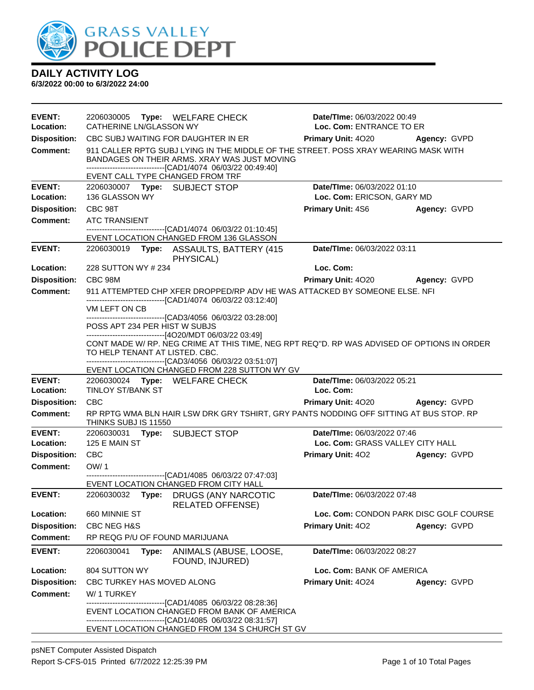

| <b>EVENT:</b>              | 2206030005 Type: WELFARE CHECK                                                                                                                                                                                                          | Date/TIme: 06/03/2022 00:49              |              |  |
|----------------------------|-----------------------------------------------------------------------------------------------------------------------------------------------------------------------------------------------------------------------------------------|------------------------------------------|--------------|--|
| Location:                  | CATHERINE LN/GLASSON WY                                                                                                                                                                                                                 | Loc. Com: ENTRANCE TO ER                 |              |  |
| <b>Disposition:</b>        | CBC SUBJ WAITING FOR DAUGHTER IN ER                                                                                                                                                                                                     | <b>Primary Unit: 4020</b>                | Agency: GVPD |  |
| <b>Comment:</b>            | 911 CALLER RPTG SUBJ LYING IN THE MIDDLE OF THE STREET. POSS XRAY WEARING MASK WITH<br>BANDAGES ON THEIR ARMS. XRAY WAS JUST MOVING<br>-------------------------------[CAD1/4074 06/03/22 00:49:40]<br>EVENT CALL TYPE CHANGED FROM TRF |                                          |              |  |
| <b>EVENT:</b>              | 2206030007 Type: SUBJECT STOP                                                                                                                                                                                                           | Date/TIme: 06/03/2022 01:10              |              |  |
| Location:                  | 136 GLASSON WY                                                                                                                                                                                                                          | Loc. Com: ERICSON, GARY MD               |              |  |
| <b>Disposition:</b>        | CBC 98T                                                                                                                                                                                                                                 | <b>Primary Unit: 4S6</b>                 | Agency: GVPD |  |
| <b>Comment:</b>            | <b>ATC TRANSIENT</b>                                                                                                                                                                                                                    |                                          |              |  |
|                            | -------------------------------[CAD1/4074 06/03/22 01:10:45]<br>EVENT LOCATION CHANGED FROM 136 GLASSON                                                                                                                                 |                                          |              |  |
| <b>EVENT:</b>              | PHYSICAL)                                                                                                                                                                                                                               | Date/TIme: 06/03/2022 03:11              |              |  |
| Location:                  | 228 SUTTON WY # 234                                                                                                                                                                                                                     | Loc. Com:                                |              |  |
| <b>Disposition:</b>        | CBC 98M                                                                                                                                                                                                                                 | <b>Primary Unit: 4020</b>                | Agency: GVPD |  |
| <b>Comment:</b>            | 911 ATTEMPTED CHP XFER DROPPED/RP ADV HE WAS ATTACKED BY SOMEONE ELSE. NFI                                                                                                                                                              |                                          |              |  |
|                            | -------------------------------[CAD1/4074 06/03/22 03:12:40]<br>VM LEFT ON CB                                                                                                                                                           |                                          |              |  |
|                            | --------------------------------[CAD3/4056_06/03/22_03:28:00]<br>POSS APT 234 PER HIST W SUBJS<br>------------------------------[4O20/MDT 06/03/22 03:49]                                                                               |                                          |              |  |
|                            | CONT MADE W/ RP. NEG CRIME AT THIS TIME, NEG RPT REQ"D. RP WAS ADVISED OF OPTIONS IN ORDER<br>TO HELP TENANT AT LISTED. CBC.<br>-------------------------------[CAD3/4056 06/03/22 03:51:07]                                            |                                          |              |  |
|                            | EVENT LOCATION CHANGED FROM 228 SUTTON WY GV                                                                                                                                                                                            |                                          |              |  |
| <b>EVENT:</b><br>Location: | 2206030024 Type: WELFARE CHECK<br><b>TINLOY ST/BANK ST</b>                                                                                                                                                                              | Date/TIme: 06/03/2022 05:21<br>Loc. Com: |              |  |
| <b>Disposition:</b>        | <b>CBC</b>                                                                                                                                                                                                                              | <b>Primary Unit: 4020</b>                | Agency: GVPD |  |
| <b>Comment:</b>            | RP RPTG WMA BLN HAIR LSW DRK GRY TSHIRT, GRY PANTS NODDING OFF SITTING AT BUS STOP. RP                                                                                                                                                  |                                          |              |  |
|                            | THINKS SUBJ IS 11550                                                                                                                                                                                                                    |                                          |              |  |
| <b>EVENT:</b>              | 2206030031 Type: SUBJECT STOP                                                                                                                                                                                                           | Date/TIme: 06/03/2022 07:46              |              |  |
| Location:                  | 125 E MAIN ST                                                                                                                                                                                                                           | Loc. Com: GRASS VALLEY CITY HALL         |              |  |
| <b>Disposition:</b>        |                                                                                                                                                                                                                                         |                                          |              |  |
|                            | <b>CBC</b>                                                                                                                                                                                                                              | <b>Primary Unit: 402</b>                 | Agency: GVPD |  |
| <b>Comment:</b>            | OW/1                                                                                                                                                                                                                                    |                                          |              |  |
|                            | -------------------------------[CAD1/4085 06/03/22 07:47:03]<br>EVENT LOCATION CHANGED FROM CITY HALL                                                                                                                                   |                                          |              |  |
| <b>EVENT:</b>              | 2206030032 Type: DRUGS (ANY NARCOTIC                                                                                                                                                                                                    | Date/TIme: 06/03/2022 07:48              |              |  |
| Location:                  | <b>RELATED OFFENSE)</b><br>660 MINNIE ST                                                                                                                                                                                                | Loc. Com: CONDON PARK DISC GOLF COURSE   |              |  |
| <b>Disposition:</b>        | <b>CBC NEG H&amp;S</b>                                                                                                                                                                                                                  | Primary Unit: 402                        | Agency: GVPD |  |
| <b>Comment:</b>            | RP REQG P/U OF FOUND MARIJUANA                                                                                                                                                                                                          |                                          |              |  |
| <b>EVENT:</b>              | 2206030041<br>Type:<br>ANIMALS (ABUSE, LOOSE,<br>FOUND, INJURED)                                                                                                                                                                        | Date/TIme: 06/03/2022 08:27              |              |  |
| Location:                  | 804 SUTTON WY                                                                                                                                                                                                                           | Loc. Com: BANK OF AMERICA                |              |  |
| <b>Disposition:</b>        | CBC TURKEY HAS MOVED ALONG                                                                                                                                                                                                              | Primary Unit: 4024                       | Agency: GVPD |  |
| Comment:                   | W/1 TURKEY                                                                                                                                                                                                                              |                                          |              |  |
|                            | -----------------------[CAD1/4085_06/03/22_08:28:36]<br>EVENT LOCATION CHANGED FROM BANK OF AMERICA<br>----------------------------[CAD1/4085_06/03/22_08:31:57]                                                                        |                                          |              |  |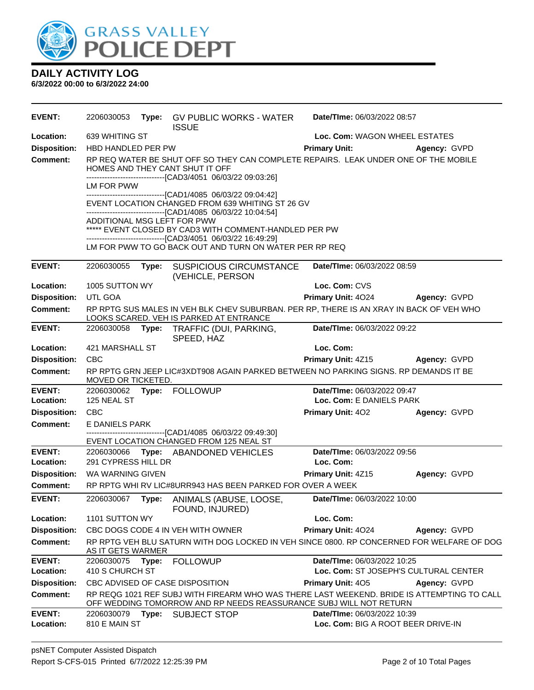

| <b>EVENT:</b>              |                                                                                                                                                                                  |  | 2206030053 Type: GV PUBLIC WORKS - WATER<br><b>ISSUE</b>                                                                | Date/TIme: 06/03/2022 08:57                                                             |                                                                                            |  |  |  |
|----------------------------|----------------------------------------------------------------------------------------------------------------------------------------------------------------------------------|--|-------------------------------------------------------------------------------------------------------------------------|-----------------------------------------------------------------------------------------|--------------------------------------------------------------------------------------------|--|--|--|
| Location:                  | 639 WHITING ST                                                                                                                                                                   |  |                                                                                                                         |                                                                                         | Loc. Com: WAGON WHEEL ESTATES                                                              |  |  |  |
| <b>Disposition:</b>        | HBD HANDLED PER PW                                                                                                                                                               |  |                                                                                                                         | <b>Primary Unit:</b>                                                                    | Agency: GVPD                                                                               |  |  |  |
| <b>Comment:</b>            |                                                                                                                                                                                  |  | HOMES AND THEY CANT SHUT IT OFF<br>------------------------------[CAD3/4051 06/03/22 09:03:26]                          | RP REQ WATER BE SHUT OFF SO THEY CAN COMPLETE REPAIRS. LEAK UNDER ONE OF THE MOBILE     |                                                                                            |  |  |  |
|                            | LM FOR PWW                                                                                                                                                                       |  |                                                                                                                         |                                                                                         |                                                                                            |  |  |  |
|                            | -------------------------------[CAD1/4085 06/03/22 09:04:42]<br>EVENT LOCATION CHANGED FROM 639 WHITING ST 26 GV<br>-------------------------------[CAD1/4085 06/03/22 10:04:54] |  |                                                                                                                         |                                                                                         |                                                                                            |  |  |  |
|                            | ADDITIONAL MSG LEFT FOR PWW                                                                                                                                                      |  | ***** EVENT CLOSED BY CAD3 WITH COMMENT-HANDLED PER PW                                                                  |                                                                                         |                                                                                            |  |  |  |
|                            |                                                                                                                                                                                  |  | --------------------------------[CAD3/4051 06/03/22 16:49:29]<br>LM FOR PWW TO GO BACK OUT AND TURN ON WATER PER RP REQ |                                                                                         |                                                                                            |  |  |  |
| <b>EVENT:</b>              | 2206030055                                                                                                                                                                       |  | Type: SUSPICIOUS CIRCUMSTANCE<br>(VEHICLE, PERSON                                                                       | Date/TIme: 06/03/2022 08:59                                                             |                                                                                            |  |  |  |
| Location:                  | 1005 SUTTON WY                                                                                                                                                                   |  |                                                                                                                         | Loc. Com: CVS                                                                           |                                                                                            |  |  |  |
| <b>Disposition:</b>        | UTL GOA                                                                                                                                                                          |  |                                                                                                                         |                                                                                         | Primary Unit: 4024 Agency: GVPD                                                            |  |  |  |
| Comment:                   |                                                                                                                                                                                  |  | LOOKS SCARED. VEH IS PARKED AT ENTRANCE                                                                                 | RP RPTG SUS MALES IN VEH BLK CHEV SUBURBAN. PER RP, THERE IS AN XRAY IN BACK OF VEH WHO |                                                                                            |  |  |  |
| <b>EVENT:</b>              |                                                                                                                                                                                  |  | 2206030058 Type: TRAFFIC (DUI, PARKING,<br>SPEED, HAZ                                                                   | Date/TIme: 06/03/2022 09:22                                                             |                                                                                            |  |  |  |
| Location:                  | 421 MARSHALL ST                                                                                                                                                                  |  |                                                                                                                         | Loc. Com:                                                                               |                                                                                            |  |  |  |
| <b>Disposition:</b>        | <b>CBC</b>                                                                                                                                                                       |  |                                                                                                                         |                                                                                         | <b>Primary Unit: 4Z15 Agency: GVPD</b>                                                     |  |  |  |
| Comment:                   | MOVED OR TICKETED.                                                                                                                                                               |  |                                                                                                                         | RP RPTG GRN JEEP LIC#3XDT908 AGAIN PARKED BETWEEN NO PARKING SIGNS. RP DEMANDS IT BE    |                                                                                            |  |  |  |
| <b>EVENT:</b>              |                                                                                                                                                                                  |  | 2206030062 Type: FOLLOWUP                                                                                               | Date/TIme: 06/03/2022 09:47                                                             |                                                                                            |  |  |  |
| Location:                  | 125 NEAL ST                                                                                                                                                                      |  |                                                                                                                         | Loc. Com: E DANIELS PARK                                                                |                                                                                            |  |  |  |
| <b>Disposition:</b>        | <b>CBC</b>                                                                                                                                                                       |  |                                                                                                                         | <b>Primary Unit: 402</b>                                                                | Agency: GVPD                                                                               |  |  |  |
| Comment:                   | E DANIELS PARK                                                                                                                                                                   |  | -------------------------------[CAD1/4085 06/03/22 09:49:30]                                                            |                                                                                         |                                                                                            |  |  |  |
| <b>EVENT:</b>              |                                                                                                                                                                                  |  | EVENT LOCATION CHANGED FROM 125 NEAL ST                                                                                 | Date/TIme: 06/03/2022 09:56                                                             |                                                                                            |  |  |  |
| Location:                  | 291 CYPRESS HILL DR                                                                                                                                                              |  | 2206030066 Type: ABANDONED VEHICLES                                                                                     | Loc. Com:                                                                               |                                                                                            |  |  |  |
| <b>Disposition:</b>        | WA WARNING GIVEN                                                                                                                                                                 |  |                                                                                                                         | <b>Primary Unit: 4Z15</b>                                                               | Agency: GVPD                                                                               |  |  |  |
| Comment:                   |                                                                                                                                                                                  |  | RP RPTG WHI RV LIC#8URR943 HAS BEEN PARKED FOR OVER A WEEK                                                              |                                                                                         |                                                                                            |  |  |  |
| <b>EVENT:</b>              | 2206030067                                                                                                                                                                       |  | Type: ANIMALS (ABUSE, LOOSE,<br>FOUND, INJURED)                                                                         | Date/TIme: 06/03/2022 10:00                                                             |                                                                                            |  |  |  |
| Location:                  | 1101 SUTTON WY                                                                                                                                                                   |  |                                                                                                                         | Loc. Com:                                                                               |                                                                                            |  |  |  |
| <b>Disposition:</b>        |                                                                                                                                                                                  |  | CBC DOGS CODE 4 IN VEH WITH OWNER                                                                                       | Primary Unit: 4024                                                                      | Agency: GVPD                                                                               |  |  |  |
| <b>Comment:</b>            | AS IT GETS WARMER                                                                                                                                                                |  |                                                                                                                         |                                                                                         | RP RPTG VEH BLU SATURN WITH DOG LOCKED IN VEH SINCE 0800. RP CONCERNED FOR WELFARE OF DOG  |  |  |  |
| <b>EVENT:</b>              | 2206030075 Type:                                                                                                                                                                 |  | <b>FOLLOWUP</b>                                                                                                         | Date/TIme: 06/03/2022 10:25                                                             |                                                                                            |  |  |  |
| Location:                  | 410 S CHURCH ST                                                                                                                                                                  |  |                                                                                                                         |                                                                                         | Loc. Com: ST JOSEPH'S CULTURAL CENTER                                                      |  |  |  |
| <b>Disposition:</b>        |                                                                                                                                                                                  |  | CBC ADVISED OF CASE DISPOSITION                                                                                         | <b>Primary Unit: 405</b>                                                                | Agency: GVPD                                                                               |  |  |  |
| <b>Comment:</b>            |                                                                                                                                                                                  |  |                                                                                                                         | OFF WEDDING TOMORROW AND RP NEEDS REASSURANCE SUBJ WILL NOT RETURN                      | RP REQG 1021 REF SUBJ WITH FIREARM WHO WAS THERE LAST WEEKEND. BRIDE IS ATTEMPTING TO CALL |  |  |  |
| <b>EVENT:</b><br>Location: | 2206030079<br>810 E MAIN ST                                                                                                                                                      |  | Type: SUBJECT STOP                                                                                                      | Date/TIme: 06/03/2022 10:39                                                             | Loc. Com: BIG A ROOT BEER DRIVE-IN                                                         |  |  |  |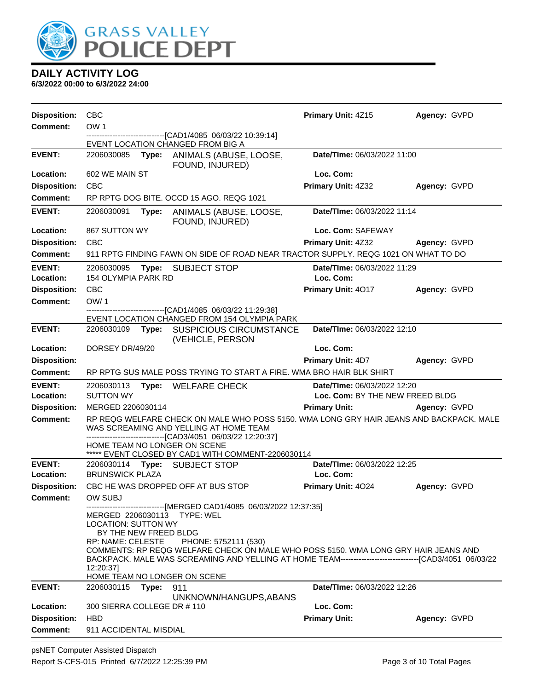

| <b>Disposition:</b>        | <b>CBC</b>                                                                            |       |                                                                                                                                                                                                                                                                                                                                                                 | Primary Unit: 4Z15                       | Agency: GVPD |
|----------------------------|---------------------------------------------------------------------------------------|-------|-----------------------------------------------------------------------------------------------------------------------------------------------------------------------------------------------------------------------------------------------------------------------------------------------------------------------------------------------------------------|------------------------------------------|--------------|
| <b>Comment:</b>            | OW <sub>1</sub>                                                                       |       |                                                                                                                                                                                                                                                                                                                                                                 |                                          |              |
|                            |                                                                                       |       | ---------------------------[CAD1/4085_06/03/22_10:39:14]<br>EVENT LOCATION CHANGED FROM BIG A                                                                                                                                                                                                                                                                   |                                          |              |
| <b>EVENT:</b>              | 2206030085                                                                            | Type: | ANIMALS (ABUSE, LOOSE,<br>FOUND, INJURED)                                                                                                                                                                                                                                                                                                                       | Date/TIme: 06/03/2022 11:00              |              |
| Location:                  | 602 WE MAIN ST                                                                        |       |                                                                                                                                                                                                                                                                                                                                                                 | Loc. Com:                                |              |
| <b>Disposition:</b>        | CBC                                                                                   |       |                                                                                                                                                                                                                                                                                                                                                                 | Primary Unit: 4Z32                       | Agency: GVPD |
| <b>Comment:</b>            |                                                                                       |       | RP RPTG DOG BITE. OCCD 15 AGO. REQG 1021                                                                                                                                                                                                                                                                                                                        |                                          |              |
| <b>EVENT:</b>              | 2206030091                                                                            | Type: | ANIMALS (ABUSE, LOOSE,<br>FOUND, INJURED)                                                                                                                                                                                                                                                                                                                       | Date/TIme: 06/03/2022 11:14              |              |
| Location:                  | 867 SUTTON WY                                                                         |       |                                                                                                                                                                                                                                                                                                                                                                 | Loc. Com: SAFEWAY                        |              |
| <b>Disposition:</b>        | <b>CBC</b>                                                                            |       |                                                                                                                                                                                                                                                                                                                                                                 | Primary Unit: 4Z32                       | Agency: GVPD |
| <b>Comment:</b>            |                                                                                       |       | 911 RPTG FINDING FAWN ON SIDE OF ROAD NEAR TRACTOR SUPPLY. REQG 1021 ON WHAT TO DO                                                                                                                                                                                                                                                                              |                                          |              |
| <b>EVENT:</b><br>Location: | 2206030095<br>154 OLYMPIA PARK RD                                                     | Type: | SUBJECT STOP                                                                                                                                                                                                                                                                                                                                                    | Date/TIme: 06/03/2022 11:29<br>Loc. Com: |              |
| <b>Disposition:</b>        | <b>CBC</b>                                                                            |       |                                                                                                                                                                                                                                                                                                                                                                 | Primary Unit: 4017                       | Agency: GVPD |
| <b>Comment:</b>            | OW/1                                                                                  |       |                                                                                                                                                                                                                                                                                                                                                                 |                                          |              |
|                            |                                                                                       |       | -------------------[CAD1/4085 06/03/22 11:29:38]<br>EVENT LOCATION CHANGED FROM 154 OLYMPIA PARK                                                                                                                                                                                                                                                                |                                          |              |
| <b>EVENT:</b>              | 2206030109                                                                            | Type: | <b>SUSPICIOUS CIRCUMSTANCE</b><br>(VEHICLE, PERSON                                                                                                                                                                                                                                                                                                              | Date/TIme: 06/03/2022 12:10              |              |
| Location:                  | DORSEY DR/49/20                                                                       |       |                                                                                                                                                                                                                                                                                                                                                                 | Loc. Com:                                |              |
| <b>Disposition:</b>        |                                                                                       |       |                                                                                                                                                                                                                                                                                                                                                                 | <b>Primary Unit: 4D7</b>                 | Agency: GVPD |
| <b>Comment:</b>            |                                                                                       |       | RP RPTG SUS MALE POSS TRYING TO START A FIRE. WMA BRO HAIR BLK SHIRT                                                                                                                                                                                                                                                                                            |                                          |              |
| <b>EVENT:</b>              | 2206030113                                                                            |       | Type: WELFARE CHECK                                                                                                                                                                                                                                                                                                                                             | <b>Date/Time: 06/03/2022 12:20</b>       |              |
| Location:                  | <b>SUTTON WY</b>                                                                      |       |                                                                                                                                                                                                                                                                                                                                                                 | Loc. Com: BY THE NEW FREED BLDG          |              |
| <b>Disposition:</b>        | MERGED 2206030114                                                                     |       |                                                                                                                                                                                                                                                                                                                                                                 | <b>Primary Unit:</b>                     | Agency: GVPD |
| <b>Comment:</b>            |                                                                                       |       | RP REQG WELFARE CHECK ON MALE WHO POSS 5150. WMA LONG GRY HAIR JEANS AND BACKPACK. MALE<br>WAS SCREAMING AND YELLING AT HOME TEAM<br>---------------------------[CAD3/4051_06/03/22 12:20:37]                                                                                                                                                                   |                                          |              |
|                            |                                                                                       |       | HOME TEAM NO LONGER ON SCENE<br>***** EVENT CLOSED BY CAD1 WITH COMMENT-2206030114                                                                                                                                                                                                                                                                              |                                          |              |
| <b>EVENT:</b>              |                                                                                       |       | 2206030114 Type: SUBJECT STOP                                                                                                                                                                                                                                                                                                                                   | Date/TIme: 06/03/2022 12:25              |              |
| Location:                  | <b>BRUNSWICK PLAZA</b>                                                                |       |                                                                                                                                                                                                                                                                                                                                                                 | Loc. Com:                                |              |
| <b>Disposition:</b>        |                                                                                       |       | CBC HE WAS DROPPED OFF AT BUS STOP                                                                                                                                                                                                                                                                                                                              | Primary Unit: 4024                       | Agency: GVPD |
| <b>Comment:</b>            | OW SUBJ                                                                               |       |                                                                                                                                                                                                                                                                                                                                                                 |                                          |              |
|                            | <b>LOCATION: SUTTON WY</b><br>BY THE NEW FREED BLDG<br>RP: NAME: CELESTE<br>12:20:37] |       | ------------------------------[MERGED CAD1/4085 06/03/2022 12:37:35]<br>MERGED 2206030113 TYPE: WEL<br>PHONE: 5752111 (530)<br>COMMENTS: RP REQG WELFARE CHECK ON MALE WHO POSS 5150. WMA LONG GRY HAIR JEANS AND<br>BACKPACK. MALE WAS SCREAMING AND YELLING AT HOME TEAM----------------------------------[CAD3/4051 06/03/22<br>HOME TEAM NO LONGER ON SCENE |                                          |              |
| <b>EVENT:</b>              | 2206030115 Type:                                                                      |       | 911                                                                                                                                                                                                                                                                                                                                                             | Date/TIme: 06/03/2022 12:26              |              |
|                            |                                                                                       |       | UNKNOWN/HANGUPS, ABANS                                                                                                                                                                                                                                                                                                                                          |                                          |              |
| Location:                  | 300 SIERRA COLLEGE DR # 110                                                           |       |                                                                                                                                                                                                                                                                                                                                                                 | Loc. Com:                                |              |
| <b>Disposition:</b>        | <b>HBD</b>                                                                            |       |                                                                                                                                                                                                                                                                                                                                                                 | <b>Primary Unit:</b>                     | Agency: GVPD |
| <b>Comment:</b>            | 911 ACCIDENTAL MISDIAL                                                                |       |                                                                                                                                                                                                                                                                                                                                                                 |                                          |              |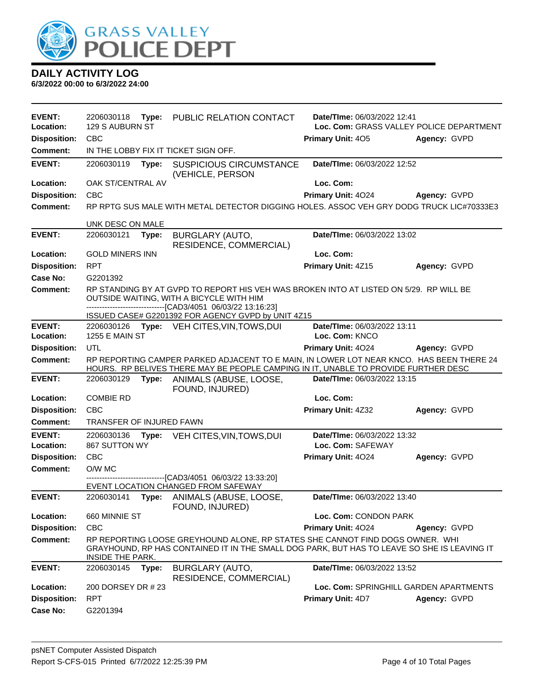

| EVENT:              | 2206030118                                                                                                                                                                                          | Type: | PUBLIC RELATION CONTACT                                                                                                                                                         | Date/TIme: 06/03/2022 12:41            |              |
|---------------------|-----------------------------------------------------------------------------------------------------------------------------------------------------------------------------------------------------|-------|---------------------------------------------------------------------------------------------------------------------------------------------------------------------------------|----------------------------------------|--------------|
| Location:           | 129 S AUBURN ST<br>Loc. Com: GRASS VALLEY POLICE DEPARTMENT                                                                                                                                         |       |                                                                                                                                                                                 |                                        |              |
| <b>Disposition:</b> | <b>CBC</b>                                                                                                                                                                                          |       |                                                                                                                                                                                 | Primary Unit: 405                      | Agency: GVPD |
| <b>Comment:</b>     |                                                                                                                                                                                                     |       | IN THE LOBBY FIX IT TICKET SIGN OFF.                                                                                                                                            |                                        |              |
| <b>EVENT:</b>       | 2206030119                                                                                                                                                                                          | Type: | <b>SUSPICIOUS CIRCUMSTANCE</b><br>(VEHICLE, PERSON                                                                                                                              | Date/TIme: 06/03/2022 12:52            |              |
| Location:           | OAK ST/CENTRAL AV                                                                                                                                                                                   |       |                                                                                                                                                                                 | Loc. Com:                              |              |
| <b>Disposition:</b> | <b>CBC</b>                                                                                                                                                                                          |       |                                                                                                                                                                                 | Primary Unit: 4024                     | Agency: GVPD |
| <b>Comment:</b>     |                                                                                                                                                                                                     |       | RP RPTG SUS MALE WITH METAL DETECTOR DIGGING HOLES. ASSOC VEH GRY DODG TRUCK LIC#70333E3                                                                                        |                                        |              |
|                     | UNK DESC ON MALE                                                                                                                                                                                    |       |                                                                                                                                                                                 |                                        |              |
| <b>EVENT:</b>       | 2206030121                                                                                                                                                                                          | Type: | <b>BURGLARY (AUTO,</b>                                                                                                                                                          | Date/TIme: 06/03/2022 13:02            |              |
|                     |                                                                                                                                                                                                     |       | RESIDENCE, COMMERCIAL)                                                                                                                                                          |                                        |              |
| Location:           | <b>GOLD MINERS INN</b>                                                                                                                                                                              |       |                                                                                                                                                                                 | Loc. Com:                              |              |
| <b>Disposition:</b> | <b>RPT</b>                                                                                                                                                                                          |       |                                                                                                                                                                                 | Primary Unit: 4Z15                     | Agency: GVPD |
| Case No:            | G2201392                                                                                                                                                                                            |       |                                                                                                                                                                                 |                                        |              |
| <b>Comment:</b>     | RP STANDING BY AT GVPD TO REPORT HIS VEH WAS BROKEN INTO AT LISTED ON 5/29. RP WILL BE<br>OUTSIDE WAITING, WITH A BICYCLE WITH HIM<br>--------------------------------[CAD3/4051 06/03/22 13:16:23] |       |                                                                                                                                                                                 |                                        |              |
|                     |                                                                                                                                                                                                     |       | ISSUED CASE# G2201392 FOR AGENCY GVPD by UNIT 4Z15                                                                                                                              |                                        |              |
| <b>EVENT:</b>       | 2206030126                                                                                                                                                                                          |       | <b>Type: VEH CITES, VIN, TOWS, DUI</b>                                                                                                                                          | Date/TIme: 06/03/2022 13:11            |              |
| Location:           | <b>1255 E MAIN ST</b>                                                                                                                                                                               |       |                                                                                                                                                                                 | Loc. Com: KNCO                         |              |
| <b>Disposition:</b> | UTL                                                                                                                                                                                                 |       |                                                                                                                                                                                 | Primary Unit: 4024                     | Agency: GVPD |
| <b>Comment:</b>     |                                                                                                                                                                                                     |       | RP REPORTING CAMPER PARKED ADJACENT TO E MAIN, IN LOWER LOT NEAR KNCO. HAS BEEN THERE 24<br>HOURS. RP BELIVES THERE MAY BE PEOPLE CAMPING IN IT, UNABLE TO PROVIDE FURTHER DESC |                                        |              |
| <b>EVENT:</b>       | 2206030129                                                                                                                                                                                          | Type: | ANIMALS (ABUSE, LOOSE,<br>FOUND, INJURED)                                                                                                                                       | Date/TIme: 06/03/2022 13:15            |              |
| Location:           | <b>COMBIE RD</b>                                                                                                                                                                                    |       |                                                                                                                                                                                 | Loc. Com:                              |              |
| <b>Disposition:</b> | <b>CBC</b>                                                                                                                                                                                          |       |                                                                                                                                                                                 | Primary Unit: 4Z32                     | Agency: GVPD |
| <b>Comment:</b>     | <b>TRANSFER OF INJURED FAWN</b>                                                                                                                                                                     |       |                                                                                                                                                                                 |                                        |              |
| <b>EVENT:</b>       | 2206030136                                                                                                                                                                                          | Type: | VEH CITES, VIN, TOWS, DUI                                                                                                                                                       | Date/TIme: 06/03/2022 13:32            |              |
| Location:           | 867 SUTTON WY                                                                                                                                                                                       |       |                                                                                                                                                                                 | Loc. Com: SAFEWAY                      |              |
| <b>Disposition:</b> | <b>CBC</b>                                                                                                                                                                                          |       |                                                                                                                                                                                 | Primary Unit: 4024                     | Agency: GVPD |
| <b>Comment:</b>     | O/W MC                                                                                                                                                                                              |       |                                                                                                                                                                                 |                                        |              |
|                     |                                                                                                                                                                                                     |       | ---------------[CAD3/4051_06/03/22 13:33:20]<br>EVENT LOCATION CHANGED FROM SAFEWAY                                                                                             |                                        |              |
| <b>EVENT:</b>       |                                                                                                                                                                                                     |       | 2206030141 Type: ANIMALS (ABUSE, LOOSE,<br>FOUND, INJURED)                                                                                                                      | Date/TIme: 06/03/2022 13:40            |              |
| Location:           | 660 MINNIE ST                                                                                                                                                                                       |       |                                                                                                                                                                                 | Loc. Com: CONDON PARK                  |              |
| <b>Disposition:</b> | <b>CBC</b>                                                                                                                                                                                          |       |                                                                                                                                                                                 | <b>Primary Unit: 4024</b>              | Agency: GVPD |
| Comment:            | INSIDE THE PARK.                                                                                                                                                                                    |       | RP REPORTING LOOSE GREYHOUND ALONE, RP STATES SHE CANNOT FIND DOGS OWNER. WHI<br>GRAYHOUND, RP HAS CONTAINED IT IN THE SMALL DOG PARK, BUT HAS TO LEAVE SO SHE IS LEAVING IT    |                                        |              |
| <b>EVENT:</b>       | 2206030145                                                                                                                                                                                          | Type: | BURGLARY (AUTO,                                                                                                                                                                 | Date/TIme: 06/03/2022 13:52            |              |
| Location:           | 200 DORSEY DR # 23                                                                                                                                                                                  |       | RESIDENCE, COMMERCIAL)                                                                                                                                                          | Loc. Com: SPRINGHILL GARDEN APARTMENTS |              |
|                     | <b>RPT</b>                                                                                                                                                                                          |       |                                                                                                                                                                                 |                                        | Agency: GVPD |
| <b>Disposition:</b> | G2201394                                                                                                                                                                                            |       |                                                                                                                                                                                 | <b>Primary Unit: 4D7</b>               |              |
| <b>Case No:</b>     |                                                                                                                                                                                                     |       |                                                                                                                                                                                 |                                        |              |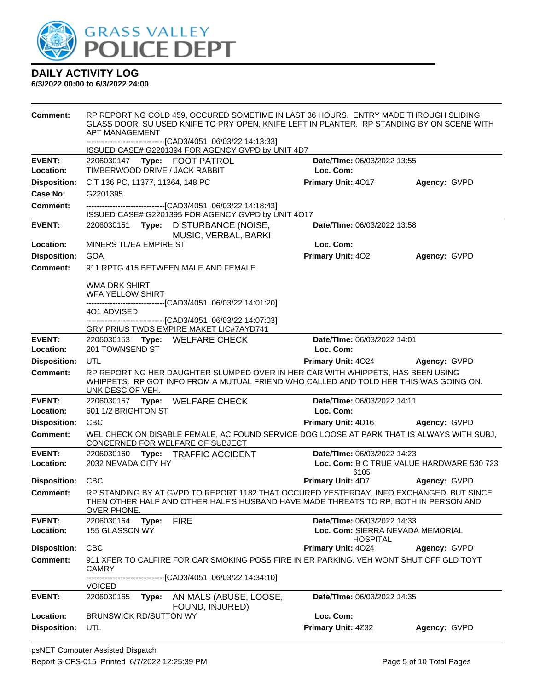

| <b>Comment:</b>            | RP REPORTING COLD 459, OCCURED SOMETIME IN LAST 36 HOURS. ENTRY MADE THROUGH SLIDING<br>GLASS DOOR, SU USED KNIFE TO PRY OPEN, KNIFE LEFT IN PLANTER. RP STANDING BY ON SCENE WITH<br>APT MANAGEMENT |                                                   |                     |  |  |  |
|----------------------------|------------------------------------------------------------------------------------------------------------------------------------------------------------------------------------------------------|---------------------------------------------------|---------------------|--|--|--|
|                            | -------------------------------[CAD3/4051 06/03/22 14:13:33]<br>ISSUED CASE# G2201394 FOR AGENCY GVPD by UNIT 4D7                                                                                    |                                                   |                     |  |  |  |
| <b>EVENT:</b>              | 2206030147 Type: FOOT PATROL                                                                                                                                                                         | Date/TIme: 06/03/2022 13:55                       |                     |  |  |  |
| Location:                  | TIMBERWOOD DRIVE / JACK RABBIT                                                                                                                                                                       | Loc. Com:                                         |                     |  |  |  |
| <b>Disposition:</b>        | CIT 136 PC, 11377, 11364, 148 PC                                                                                                                                                                     | Primary Unit: 4017                                | Agency: GVPD        |  |  |  |
| Case No:                   | G2201395                                                                                                                                                                                             |                                                   |                     |  |  |  |
| Comment:                   | -------------------------------[CAD3/4051 06/03/22 14:18:43]<br>ISSUED CASE# G2201395 FOR AGENCY GVPD by UNIT 4017                                                                                   |                                                   |                     |  |  |  |
| <b>EVENT:</b>              | Date/TIme: 06/03/2022 13:58<br>2206030151 Type: DISTURBANCE (NOISE,<br>MUSIC, VERBAL, BARKI                                                                                                          |                                                   |                     |  |  |  |
| Location:                  | MINERS TL/EA EMPIRE ST                                                                                                                                                                               | Loc. Com:                                         |                     |  |  |  |
| <b>Disposition:</b>        | <b>GOA</b>                                                                                                                                                                                           | <b>Primary Unit: 402</b>                          | Agency: GVPD        |  |  |  |
| <b>Comment:</b>            | 911 RPTG 415 BETWEEN MALE AND FEMALE                                                                                                                                                                 |                                                   |                     |  |  |  |
|                            | WMA DRK SHIRT<br><b>WFA YELLOW SHIRT</b><br>-------------------------------[CAD3/4051_06/03/22 14:01:20]                                                                                             |                                                   |                     |  |  |  |
|                            | 401 ADVISED                                                                                                                                                                                          |                                                   |                     |  |  |  |
|                            | ---------------------------------[CAD3/4051 06/03/22 14:07:03]<br>GRY PRIUS TWDS EMPIRE MAKET LIC#7AYD741                                                                                            |                                                   |                     |  |  |  |
| <b>EVENT:</b><br>Location: | 2206030153 Type: WELFARE CHECK<br>201 TOWNSEND ST                                                                                                                                                    | Date/TIme: 06/03/2022 14:01<br>Loc. Com:          |                     |  |  |  |
| <b>Disposition:</b>        | UTL<br><b>Primary Unit: 4024</b><br>Agency: GVPD                                                                                                                                                     |                                                   |                     |  |  |  |
| <b>Comment:</b>            | RP REPORTING HER DAUGHTER SLUMPED OVER IN HER CAR WITH WHIPPETS, HAS BEEN USING<br>WHIPPETS. RP GOT INFO FROM A MUTUAL FRIEND WHO CALLED AND TOLD HER THIS WAS GOING ON.<br>UNK DESC OF VEH.         |                                                   |                     |  |  |  |
| <b>EVENT:</b>              | 2206030157 Type: WELFARE CHECK                                                                                                                                                                       | Date/TIme: 06/03/2022 14:11                       |                     |  |  |  |
| Location:                  | 601 1/2 BRIGHTON ST                                                                                                                                                                                  | Loc. Com:                                         |                     |  |  |  |
| <b>Disposition:</b>        | <b>CBC</b>                                                                                                                                                                                           | <b>Primary Unit: 4D16 Agency: GVPD</b>            |                     |  |  |  |
| <b>Comment:</b>            | WEL CHECK ON DISABLE FEMALE, AC FOUND SERVICE DOG LOOSE AT PARK THAT IS ALWAYS WITH SUBJ,<br>CONCERNED FOR WELFARE OF SUBJECT                                                                        |                                                   |                     |  |  |  |
| <b>EVENT:</b>              | 2206030160 Type: TRAFFIC ACCIDENT                                                                                                                                                                    | Date/TIme: 06/03/2022 14:23                       |                     |  |  |  |
| Location:                  | 2032 NEVADA CITY HY                                                                                                                                                                                  | Loc. Com: B C TRUE VALUE HARDWARE 530 723<br>6105 |                     |  |  |  |
| Disposition: CBC           |                                                                                                                                                                                                      | <b>Primary Unit: 4D7</b>                          | <b>Agency: GVPD</b> |  |  |  |
| Comment:                   | RP STANDING BY AT GVPD TO REPORT 1182 THAT OCCURED YESTERDAY, INFO EXCHANGED, BUT SINCE<br>THEN OTHER HALF AND OTHER HALF'S HUSBAND HAVE MADE THREATS TO RP. BOTH IN PERSON AND<br>OVER PHONE.       |                                                   |                     |  |  |  |
| <b>EVENT:</b>              | 2206030164<br>Type:<br><b>FIRE</b>                                                                                                                                                                   | Date/TIme: 06/03/2022 14:33                       |                     |  |  |  |
| Location:                  | 155 GLASSON WY                                                                                                                                                                                       | Loc. Com: SIERRA NEVADA MEMORIAL                  |                     |  |  |  |
| <b>Disposition:</b>        | <b>CBC</b>                                                                                                                                                                                           | <b>HOSPITAL</b><br>Primary Unit: 4024             | Agency: GVPD        |  |  |  |
| <b>Comment:</b>            | 911 XFER TO CALFIRE FOR CAR SMOKING POSS FIRE IN ER PARKING. VEH WONT SHUT OFF GLD TOYT<br><b>CAMRY</b><br>------------------[CAD3/4051 06/03/22 14:34:10]                                           |                                                   |                     |  |  |  |
|                            | <b>VOICED</b>                                                                                                                                                                                        |                                                   |                     |  |  |  |
| <b>EVENT:</b>              | 2206030165<br>Type:<br>ANIMALS (ABUSE, LOOSE,<br>FOUND, INJURED)                                                                                                                                     | Date/Time: 06/03/2022 14:35                       |                     |  |  |  |
| Location:                  | <b>BRUNSWICK RD/SUTTON WY</b>                                                                                                                                                                        | Loc. Com:                                         |                     |  |  |  |
| <b>Disposition:</b>        | UTL                                                                                                                                                                                                  | Primary Unit: 4Z32                                | Agency: GVPD        |  |  |  |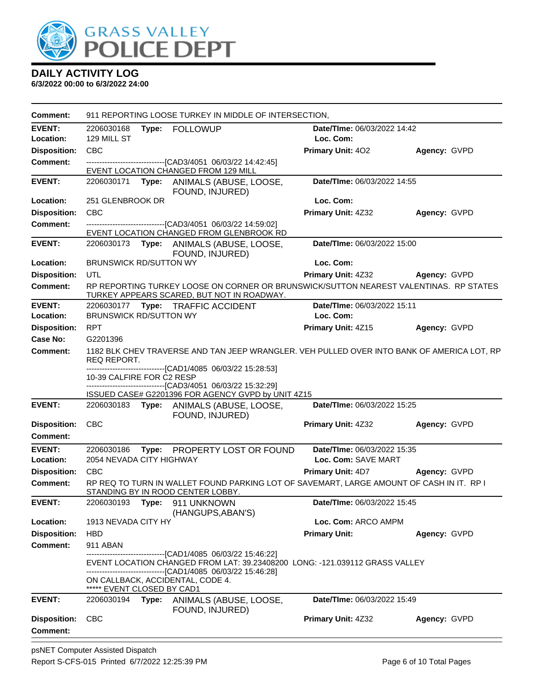

| <b>Comment:</b>                        |                                          |       | 911 REPORTING LOOSE TURKEY IN MIDDLE OF INTERSECTION.                                                                                                                                                                                                                    |                             |                     |
|----------------------------------------|------------------------------------------|-------|--------------------------------------------------------------------------------------------------------------------------------------------------------------------------------------------------------------------------------------------------------------------------|-----------------------------|---------------------|
| <b>EVENT:</b>                          | 2206030168                               |       | Type: FOLLOWUP                                                                                                                                                                                                                                                           | Date/TIme: 06/03/2022 14:42 |                     |
| Location:                              | 129 MILL ST                              |       |                                                                                                                                                                                                                                                                          | Loc. Com:                   |                     |
| <b>Disposition:</b>                    | <b>CBC</b>                               |       |                                                                                                                                                                                                                                                                          | <b>Primary Unit: 402</b>    | Agency: GVPD        |
| Comment:                               |                                          |       | -------------------------------[CAD3/4051 06/03/22 14:42:45]<br>EVENT LOCATION CHANGED FROM 129 MILL                                                                                                                                                                     |                             |                     |
| <b>EVENT:</b>                          |                                          |       | 2206030171 Type: ANIMALS (ABUSE, LOOSE,<br>FOUND, INJURED)                                                                                                                                                                                                               | Date/TIme: 06/03/2022 14:55 |                     |
| Location:                              | 251 GLENBROOK DR                         |       |                                                                                                                                                                                                                                                                          | Loc. Com:                   |                     |
| <b>Disposition:</b>                    | <b>CBC</b>                               |       |                                                                                                                                                                                                                                                                          | Primary Unit: 4Z32          | Agency: GVPD        |
| <b>Comment:</b>                        |                                          |       | --------------------------------[CAD3/4051 06/03/22 14:59:02]<br>EVENT LOCATION CHANGED FROM GLENBROOK RD                                                                                                                                                                |                             |                     |
| <b>EVENT:</b>                          |                                          |       | 2206030173 Type: ANIMALS (ABUSE, LOOSE,<br>FOUND, INJURED)                                                                                                                                                                                                               | Date/TIme: 06/03/2022 15:00 |                     |
| Location:                              | <b>BRUNSWICK RD/SUTTON WY</b>            |       |                                                                                                                                                                                                                                                                          | Loc. Com:                   |                     |
| <b>Disposition:</b>                    | <b>UTL</b>                               |       |                                                                                                                                                                                                                                                                          | <b>Primary Unit: 4Z32</b>   | <b>Agency: GVPD</b> |
| Comment:                               |                                          |       | RP REPORTING TURKEY LOOSE ON CORNER OR BRUNSWICK/SUTTON NEAREST VALENTINAS. RP STATES<br>TURKEY APPEARS SCARED, BUT NOT IN ROADWAY.                                                                                                                                      |                             |                     |
| <b>EVENT:</b>                          |                                          |       | 2206030177 Type: TRAFFIC ACCIDENT                                                                                                                                                                                                                                        | Date/TIme: 06/03/2022 15:11 |                     |
| Location:                              | <b>BRUNSWICK RD/SUTTON WY</b>            |       |                                                                                                                                                                                                                                                                          | Loc. Com:                   |                     |
| <b>Disposition:</b>                    | <b>RPT</b>                               |       |                                                                                                                                                                                                                                                                          | Primary Unit: 4Z15          | Agency: GVPD        |
| Case No:                               | G2201396                                 |       |                                                                                                                                                                                                                                                                          |                             |                     |
| <b>Comment:</b>                        | REQ REPORT.<br>10-39 CALFIRE FOR C2 RESP |       | 1182 BLK CHEV TRAVERSE AND TAN JEEP WRANGLER. VEH PULLED OVER INTO BANK OF AMERICA LOT, RP<br>-----------------------[CAD1/4085 06/03/22 15:28:53]<br>-------------------------------[CAD3/4051 06/03/22 15:32:29]<br>ISSUED CASE# G2201396 FOR AGENCY GVPD by UNIT 4Z15 |                             |                     |
| <b>EVENT:</b>                          |                                          |       | 2206030183 Type: ANIMALS (ABUSE, LOOSE,<br>FOUND, INJURED)                                                                                                                                                                                                               | Date/TIme: 06/03/2022 15:25 |                     |
| <b>Disposition:</b><br><b>Comment:</b> | <b>CBC</b>                               |       |                                                                                                                                                                                                                                                                          | Primary Unit: 4Z32          | Agency: GVPD        |
| <b>EVENT:</b>                          | 2206030186                               |       | Type: PROPERTY LOST OR FOUND                                                                                                                                                                                                                                             | Date/TIme: 06/03/2022 15:35 |                     |
| Location:                              | 2054 NEVADA CITY HIGHWAY                 |       |                                                                                                                                                                                                                                                                          | Loc. Com: SAVE MART         |                     |
| <b>Disposition:</b>                    | <b>CBC</b>                               |       |                                                                                                                                                                                                                                                                          | <b>Primary Unit: 4D7</b>    | Agency: GVPD        |
| <b>Comment:</b>                        |                                          |       | RP REQ TO TURN IN WALLET FOUND PARKING LOT OF SAVEMART, LARGE AMOUNT OF CASH IN IT. RP I<br>STANDING BY IN ROOD CENTER LOBBY.                                                                                                                                            |                             |                     |
| <b>EVENT:</b>                          | 2206030193                               |       | Type: 911 UNKNOWN<br>(HANGUPS, ABAN'S)                                                                                                                                                                                                                                   | Date/TIme: 06/03/2022 15:45 |                     |
| Location:                              | 1913 NEVADA CITY HY                      |       |                                                                                                                                                                                                                                                                          | Loc. Com: ARCO AMPM         |                     |
| <b>Disposition:</b>                    | <b>HBD</b>                               |       |                                                                                                                                                                                                                                                                          | <b>Primary Unit:</b>        | Agency: GVPD        |
| <b>Comment:</b>                        | 911 ABAN                                 |       |                                                                                                                                                                                                                                                                          |                             |                     |
|                                        | ***** EVENT CLOSED BY CAD1               |       | ----------------------[CAD1/4085_06/03/22 15:46:22]<br>EVENT LOCATION CHANGED FROM LAT: 39.23408200 LONG: -121.039112 GRASS VALLEY<br>--------------------------------[CAD1/4085 06/03/22 15:46:28]<br>ON CALLBACK, ACCIDENTAL, CODE 4.                                  |                             |                     |
| <b>EVENT:</b>                          | 2206030194                               | Type: | ANIMALS (ABUSE, LOOSE,<br>FOUND, INJURED)                                                                                                                                                                                                                                | Date/TIme: 06/03/2022 15:49 |                     |
| <b>Disposition:</b><br><b>Comment:</b> | <b>CBC</b>                               |       |                                                                                                                                                                                                                                                                          | <b>Primary Unit: 4Z32</b>   | Agency: GVPD        |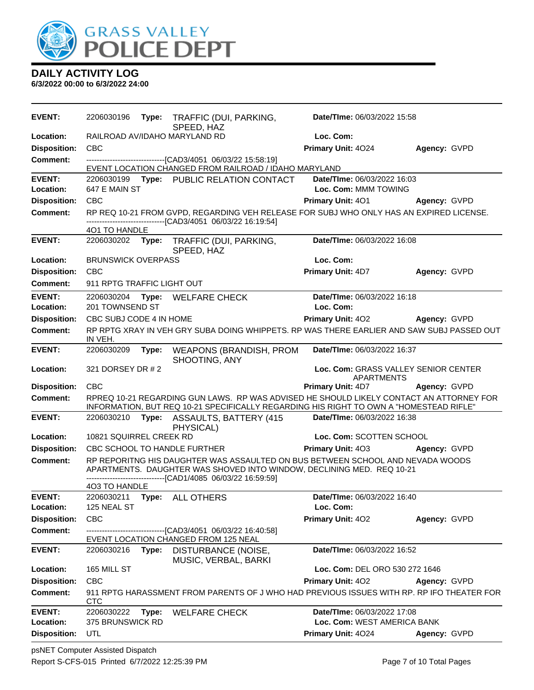

| <b>EVENT:</b>              | 2206030196<br>Type:           | TRAFFIC (DUI, PARKING,<br>SPEED, HAZ                                                                                                                                                                              | Date/TIme: 06/03/2022 15:58              |              |
|----------------------------|-------------------------------|-------------------------------------------------------------------------------------------------------------------------------------------------------------------------------------------------------------------|------------------------------------------|--------------|
| Location:                  | RAILROAD AV/IDAHO MARYLAND RD |                                                                                                                                                                                                                   | Loc. Com:                                |              |
| <b>Disposition:</b>        | <b>CBC</b>                    |                                                                                                                                                                                                                   | Primary Unit: 4024                       | Agency: GVPD |
| <b>Comment:</b>            |                               | ---------------------------------[CAD3/4051 06/03/22 15:58:19]<br>EVENT LOCATION CHANGED FROM RAILROAD / IDAHO MARYLAND                                                                                           |                                          |              |
| <b>EVENT:</b>              |                               | 2206030199 Type: PUBLIC RELATION CONTACT                                                                                                                                                                          | Date/TIme: 06/03/2022 16:03              |              |
| Location:                  | 647 E MAIN ST                 |                                                                                                                                                                                                                   | Loc. Com: MMM TOWING                     |              |
| <b>Disposition:</b>        | <b>CBC</b>                    |                                                                                                                                                                                                                   | Primary Unit: 401                        | Agency: GVPD |
| <b>Comment:</b>            |                               | RP REQ 10-21 FROM GVPD, REGARDING VEH RELEASE FOR SUBJ WHO ONLY HAS AN EXPIRED LICENSE.<br>-------------------------------[CAD3/4051 06/03/22 16:19:54]                                                           |                                          |              |
|                            | 401 TO HANDLE                 |                                                                                                                                                                                                                   |                                          |              |
| <b>EVENT:</b>              | 2206030202<br>Type:           | TRAFFIC (DUI, PARKING,<br>SPEED, HAZ                                                                                                                                                                              | Date/TIme: 06/03/2022 16:08              |              |
| Location:                  | <b>BRUNSWICK OVERPASS</b>     |                                                                                                                                                                                                                   | Loc. Com:                                |              |
| <b>Disposition:</b>        | <b>CBC</b>                    |                                                                                                                                                                                                                   | Primary Unit: 4D7                        | Agency: GVPD |
| Comment:                   | 911 RPTG TRAFFIC LIGHT OUT    |                                                                                                                                                                                                                   |                                          |              |
| <b>EVENT:</b><br>Location: | 201 TOWNSEND ST               | 2206030204 Type: WELFARE CHECK                                                                                                                                                                                    | Date/TIme: 06/03/2022 16:18<br>Loc. Com: |              |
| <b>Disposition:</b>        | CBC SUBJ CODE 4 IN HOME       |                                                                                                                                                                                                                   | <b>Primary Unit: 402</b>                 | Agency: GVPD |
| <b>Comment:</b>            | IN VEH.                       | RP RPTG XRAY IN VEH GRY SUBA DOING WHIPPETS. RP WAS THERE EARLIER AND SAW SUBJ PASSED OUT                                                                                                                         |                                          |              |
| <b>EVENT:</b>              | 2206030209<br>Type:           | WEAPONS (BRANDISH, PROM<br>SHOOTING, ANY                                                                                                                                                                          | Date/TIme: 06/03/2022 16:37              |              |
| Location:                  | 321 DORSEY DR # 2             |                                                                                                                                                                                                                   | Loc. Com: GRASS VALLEY SENIOR CENTER     |              |
| <b>Disposition:</b>        | <b>CBC</b>                    |                                                                                                                                                                                                                   | <b>APARTMENTS</b><br>Primary Unit: 4D7   | Agency: GVPD |
| <b>Comment:</b>            |                               | RPREQ 10-21 REGARDING GUN LAWS. RP WAS ADVISED HE SHOULD LIKELY CONTACT AN ATTORNEY FOR                                                                                                                           |                                          |              |
|                            |                               | INFORMATION, BUT REQ 10-21 SPECIFICALLY REGARDING HIS RIGHT TO OWN A "HOMESTEAD RIFLE"                                                                                                                            |                                          |              |
| <b>EVENT:</b>              | 2206030210                    | Type: ASSAULTS, BATTERY (415<br>PHYSICAL)                                                                                                                                                                         | Date/TIme: 06/03/2022 16:38              |              |
| Location:                  | 10821 SQUIRREL CREEK RD       |                                                                                                                                                                                                                   | Loc. Com: SCOTTEN SCHOOL                 |              |
| <b>Disposition:</b>        | CBC SCHOOL TO HANDLE FURTHER  |                                                                                                                                                                                                                   | Primary Unit: 403                        | Agency: GVPD |
| <b>Comment:</b>            |                               | RP REPORITNG HIS DAUGHTER WAS ASSAULTED ON BUS BETWEEN SCHOOL AND NEVADA WOODS<br>APARTMENTS. DAUGHTER WAS SHOVED INTO WINDOW, DECLINING MED. REQ 10-21<br>-------------------------[CAD1/4085_06/03/22_16:59:59] |                                          |              |
|                            | 4O3 TO HANDLE                 |                                                                                                                                                                                                                   |                                          |              |
| <b>EVENT:</b>              | 2206030211<br>Type:           | <b>ALL OTHERS</b>                                                                                                                                                                                                 | Date/TIme: 06/03/2022 16:40              |              |
| Location:                  | 125 NEAL ST                   |                                                                                                                                                                                                                   | Loc. Com:                                |              |
| <b>Disposition:</b>        | CBC                           |                                                                                                                                                                                                                   | Primary Unit: 402                        | Agency: GVPD |
| <b>Comment:</b>            |                               | -------------------[CAD3/4051_06/03/22 16:40:58]<br>EVENT LOCATION CHANGED FROM 125 NEAL                                                                                                                          |                                          |              |
| <b>EVENT:</b>              | 2206030216<br>Type:           | DISTURBANCE (NOISE,                                                                                                                                                                                               | Date/TIme: 06/03/2022 16:52              |              |
|                            |                               | MUSIC, VERBAL, BARKI                                                                                                                                                                                              |                                          |              |
| Location:                  | 165 MILL ST                   |                                                                                                                                                                                                                   | Loc. Com: DEL ORO 530 272 1646           |              |
| <b>Disposition:</b>        | CBC                           |                                                                                                                                                                                                                   | Primary Unit: 402                        | Agency: GVPD |
| <b>Comment:</b>            | <b>CTC</b>                    | 911 RPTG HARASSMENT FROM PARENTS OF J WHO HAD PREVIOUS ISSUES WITH RP. RP IFO THEATER FOR                                                                                                                         |                                          |              |
| <b>EVENT:</b>              | 2206030222<br>Type:           | <b>WELFARE CHECK</b>                                                                                                                                                                                              | Date/TIme: 06/03/2022 17:08              |              |
| Location:                  | 375 BRUNSWICK RD              |                                                                                                                                                                                                                   | Loc. Com: WEST AMERICA BANK              |              |
| <b>Disposition:</b>        | UTL                           |                                                                                                                                                                                                                   | Primary Unit: 4024                       | Agency: GVPD |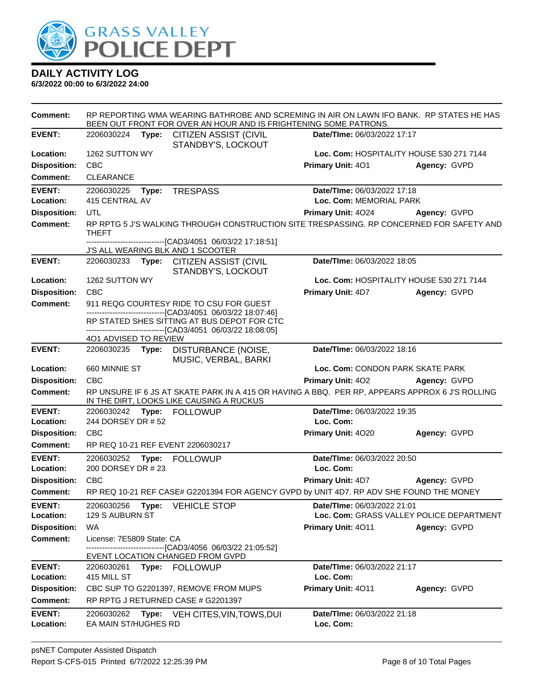

| <b>Comment:</b>                        |                                                |       | BEEN OUT FRONT FOR OVER AN HOUR AND IS FRIGHTENING SOME PATRONS.                                                                              | RP REPORTING WMA WEARING BATHROBE AND SCREMING IN AIR ON LAWN IFO BANK. RP STATES HE HAS |                                          |  |
|----------------------------------------|------------------------------------------------|-------|-----------------------------------------------------------------------------------------------------------------------------------------------|------------------------------------------------------------------------------------------|------------------------------------------|--|
| <b>EVENT:</b>                          |                                                |       | 2206030224 Type: CITIZEN ASSIST (CIVIL<br>STANDBY'S, LOCKOUT                                                                                  | Date/TIme: 06/03/2022 17:17                                                              |                                          |  |
| Location:                              | 1262 SUTTON WY                                 |       |                                                                                                                                               |                                                                                          | Loc. Com: HOSPITALITY HOUSE 530 271 7144 |  |
| <b>Disposition:</b>                    | <b>CBC</b>                                     |       |                                                                                                                                               | <b>Primary Unit: 401</b>                                                                 | Agency: GVPD                             |  |
| <b>Comment:</b>                        | CLEARANCE                                      |       |                                                                                                                                               |                                                                                          |                                          |  |
| <b>EVENT:</b><br>Location:             | Type: TRESPASS<br>2206030225<br>415 CENTRAL AV |       |                                                                                                                                               | Date/TIme: 06/03/2022 17:18<br>Loc. Com: MEMORIAL PARK                                   |                                          |  |
| <b>Disposition:</b>                    | <b>UTL</b>                                     |       |                                                                                                                                               | Primary Unit: 4024 Agency: GVPD                                                          |                                          |  |
| <b>Comment:</b>                        | THEFT                                          |       | RP RPTG 5 J'S WALKING THROUGH CONSTRUCTION SITE TRESPASSING. RP CONCERNED FOR SAFETY AND<br>--------------------[CAD3/4051_06/03/22 17:18:51] |                                                                                          |                                          |  |
|                                        |                                                |       | J'S ALL WEARING BLK AND 1 SCOOTER                                                                                                             |                                                                                          |                                          |  |
| <b>EVENT:</b>                          |                                                |       | 2206030233 Type: CITIZEN ASSIST (CIVIL<br>STANDBY'S, LOCKOUT                                                                                  | Date/TIme: 06/03/2022 18:05                                                              |                                          |  |
| Location:                              | 1262 SUTTON WY                                 |       |                                                                                                                                               |                                                                                          | Loc. Com: HOSPITALITY HOUSE 530 271 7144 |  |
| <b>Disposition:</b>                    | <b>CBC</b>                                     |       |                                                                                                                                               | <b>Primary Unit: 4D7</b>                                                                 | Agency: GVPD                             |  |
| <b>Comment:</b>                        |                                                |       | 911 REQG COURTESY RIDE TO CSU FOR GUEST<br>-------------------------------[CAD3/4051 06/03/22 18:07:46]                                       |                                                                                          |                                          |  |
|                                        |                                                |       | RP STATED SHES SITTING AT BUS DEPOT FOR CTC                                                                                                   |                                                                                          |                                          |  |
|                                        | 401 ADVISED TO REVIEW                          |       | ------------------------------[CAD3/4051 06/03/22 18:08:05]                                                                                   |                                                                                          |                                          |  |
| <b>EVENT:</b>                          |                                                |       | 2206030235 Type: DISTURBANCE (NOISE,<br>MUSIC, VERBAL, BARKI                                                                                  | Date/TIme: 06/03/2022 18:16                                                              |                                          |  |
| Location:                              | 660 MINNIE ST                                  |       |                                                                                                                                               | Loc. Com: CONDON PARK SKATE PARK                                                         |                                          |  |
| <b>Disposition:</b>                    | <b>CBC</b>                                     |       |                                                                                                                                               | Primary Unit: 402 Agency: GVPD                                                           |                                          |  |
| Comment:                               |                                                |       | RP UNSURE IF 6 JS AT SKATE PARK IN A 415 OR HAVING A BBQ. PER RP, APPEARS APPROX 6 J'S ROLLING<br>IN THE DIRT, LOOKS LIKE CAUSING A RUCKUS    |                                                                                          |                                          |  |
| <b>EVENT:</b>                          |                                                |       | 2206030242 Type: FOLLOWUP                                                                                                                     | Date/TIme: 06/03/2022 19:35                                                              |                                          |  |
| Location:                              | 244 DORSEY DR # 52                             |       |                                                                                                                                               | Loc. Com:                                                                                |                                          |  |
| <b>Disposition:</b>                    | <b>CBC</b>                                     |       |                                                                                                                                               | Primary Unit: 4020                                                                       | Agency: GVPD                             |  |
| <b>Comment:</b>                        |                                                |       | RP REQ 10-21 REF EVENT 2206030217                                                                                                             |                                                                                          |                                          |  |
| <b>EVENT:</b>                          |                                                |       | 2206030252 Type: FOLLOWUP                                                                                                                     | Date/TIme: 06/03/2022 20:50                                                              |                                          |  |
| Location:                              | 200 DORSEY DR # 23<br><b>CBC</b>               |       |                                                                                                                                               | Loc. Com:<br><b>Primary Unit: 4D7</b>                                                    | Agency: GVPD                             |  |
| <b>Disposition:</b><br><b>Comment:</b> |                                                |       | RP REQ 10-21 REF CASE# G2201394 FOR AGENCY GVPD by UNIT 4D7. RP ADV SHE FOUND THE MONEY                                                       |                                                                                          |                                          |  |
|                                        |                                                |       |                                                                                                                                               |                                                                                          |                                          |  |
| <b>EVENT:</b><br>Location:             | 2206030256<br>129 S AUBURN ST                  | Type: | <b>VEHICLE STOP</b>                                                                                                                           | Date/TIme: 06/03/2022 21:01                                                              | Loc. Com: GRASS VALLEY POLICE DEPARTMENT |  |
| <b>Disposition:</b>                    | WA                                             |       |                                                                                                                                               | Primary Unit: 4011                                                                       | Agency: GVPD                             |  |
| <b>Comment:</b>                        | License: 7E5809 State: CA                      |       |                                                                                                                                               |                                                                                          |                                          |  |
|                                        |                                                |       | -------------------[CAD3/4056_06/03/22 21:05:52]<br>EVENT LOCATION CHANGED FROM GVPD                                                          |                                                                                          |                                          |  |
| <b>EVENT:</b><br>Location:             | 415 MILL ST                                    |       | 2206030261 Type: FOLLOWUP                                                                                                                     | Date/TIme: 06/03/2022 21:17<br>Loc. Com:                                                 |                                          |  |
| <b>Disposition:</b>                    |                                                |       | CBC SUP TO G2201397, REMOVE FROM MUPS                                                                                                         | Primary Unit: 4011                                                                       | Agency: GVPD                             |  |
| <b>Comment:</b>                        |                                                |       | RP RPTG J RETURNED CASE # G2201397                                                                                                            |                                                                                          |                                          |  |
| <b>EVENT:</b><br>Location:             | 2206030262<br>EA MAIN ST/HUGHES RD             |       | <b>Type:</b> VEH CITES, VIN, TOWS, DUI                                                                                                        | Date/TIme: 06/03/2022 21:18<br>Loc. Com:                                                 |                                          |  |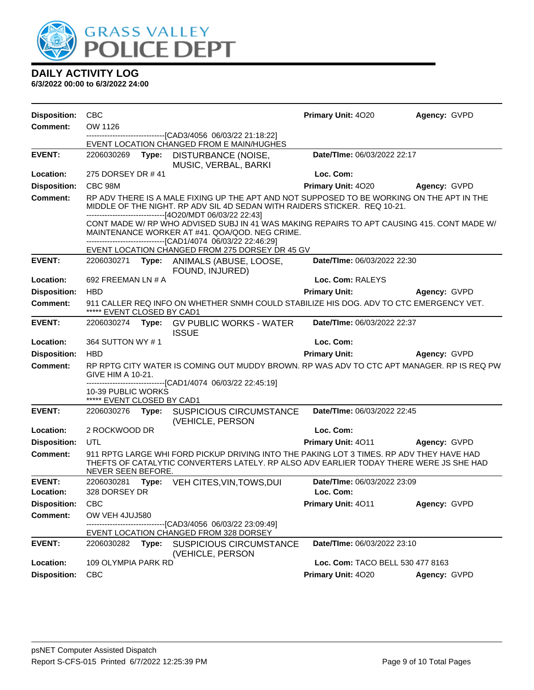

| <b>Disposition:</b> | <b>CBC</b>                                       |                                                                                                                                                                                                                              | Primary Unit: 4020               | Agency: GVPD        |
|---------------------|--------------------------------------------------|------------------------------------------------------------------------------------------------------------------------------------------------------------------------------------------------------------------------------|----------------------------------|---------------------|
| <b>Comment:</b>     | OW 1126                                          |                                                                                                                                                                                                                              |                                  |                     |
|                     |                                                  | -------------------------------[CAD3/4056_06/03/22 21:18:22]<br>EVENT LOCATION CHANGED FROM E MAIN/HUGHES                                                                                                                    |                                  |                     |
| <b>EVENT:</b>       | 2206030269<br>Type:                              | DISTURBANCE (NOISE,<br>MUSIC, VERBAL, BARKI                                                                                                                                                                                  | Date/TIme: 06/03/2022 22:17      |                     |
| Location:           | 275 DORSEY DR #41                                |                                                                                                                                                                                                                              | Loc. Com:                        |                     |
| <b>Disposition:</b> | CBC 98M                                          |                                                                                                                                                                                                                              | Primary Unit: 4020               | Agency: GVPD        |
| Comment:            |                                                  | RP ADV THERE IS A MALE FIXING UP THE APT AND NOT SUPPOSED TO BE WORKING ON THE APT IN THE<br>MIDDLE OF THE NIGHT. RP ADV SIL 4D SEDAN WITH RAIDERS STICKER. REQ 10-21.<br>-------------------------[4O20/MDT 06/03/22 22:43] |                                  |                     |
|                     |                                                  | CONT MADE W/ RP WHO ADVISED SUBJ IN 41 WAS MAKING REPAIRS TO APT CAUSING 415. CONT MADE W/<br>MAINTENANCE WORKER AT #41. QOA/QOD. NEG CRIME.<br>-------------------------------[CAD1/4074 06/03/22 22:46:29]                 |                                  |                     |
|                     |                                                  | EVENT LOCATION CHANGED FROM 275 DORSEY DR 45 GV                                                                                                                                                                              |                                  |                     |
| <b>EVENT:</b>       |                                                  | 2206030271 Type: ANIMALS (ABUSE, LOOSE,<br>FOUND, INJURED)                                                                                                                                                                   | Date/TIme: 06/03/2022 22:30      |                     |
| Location:           | 692 FREEMAN LN # A                               |                                                                                                                                                                                                                              | Loc. Com: RALEYS                 |                     |
| <b>Disposition:</b> | <b>HBD</b>                                       |                                                                                                                                                                                                                              | <b>Primary Unit:</b>             | Agency: GVPD        |
| <b>Comment:</b>     | ***** EVENT CLOSED BY CAD1                       | 911 CALLER REQ INFO ON WHETHER SNMH COULD STABILIZE HIS DOG. ADV TO CTC EMERGENCY VET.                                                                                                                                       |                                  |                     |
| <b>EVENT:</b>       |                                                  | 2206030274 Type: GV PUBLIC WORKS - WATER<br><b>ISSUE</b>                                                                                                                                                                     | Date/TIme: 06/03/2022 22:37      |                     |
| Location:           | 364 SUTTON WY #1                                 |                                                                                                                                                                                                                              | Loc. Com:                        |                     |
| <b>Disposition:</b> | <b>HBD</b>                                       |                                                                                                                                                                                                                              | <b>Primary Unit:</b>             | <b>Agency: GVPD</b> |
| <b>Comment:</b>     | GIVE HIM A 10-21.                                | RP RPTG CITY WATER IS COMING OUT MUDDY BROWN. RP WAS ADV TO CTC APT MANAGER. RP IS REQ PW                                                                                                                                    |                                  |                     |
|                     | 10-39 PUBLIC WORKS<br>***** EVENT CLOSED BY CAD1 | --------------------------[CAD1/4074_06/03/22 22:45:19]                                                                                                                                                                      |                                  |                     |
| <b>EVENT:</b>       |                                                  | 2206030276 Type: SUSPICIOUS CIRCUMSTANCE<br>(VEHICLE, PERSON                                                                                                                                                                 | Date/TIme: 06/03/2022 22:45      |                     |
| Location:           | 2 ROCKWOOD DR                                    |                                                                                                                                                                                                                              | Loc. Com:                        |                     |
| <b>Disposition:</b> | <b>UTL</b>                                       |                                                                                                                                                                                                                              | <b>Primary Unit: 4011</b>        | Agency: GVPD        |
| <b>Comment:</b>     | NEVER SEEN BEFORE.                               | 911 RPTG LARGE WHI FORD PICKUP DRIVING INTO THE PAKING LOT 3 TIMES. RP ADV THEY HAVE HAD<br>THEFTS OF CATALYTIC CONVERTERS LATELY. RP ALSO ADV EARLIER TODAY THERE WERE JS SHE HAD                                           |                                  |                     |
| <b>EVENT:</b>       | 2206030281<br>Type:                              | VEH CITES, VIN, TOWS, DUI                                                                                                                                                                                                    | Date/TIme: 06/03/2022 23:09      |                     |
| Location:           | 328 DORSEY DR                                    |                                                                                                                                                                                                                              | Loc. Com:                        |                     |
| <b>Disposition:</b> | <b>CBC</b>                                       |                                                                                                                                                                                                                              | Primary Unit: 4011               | Agency: GVPD        |
| <b>Comment:</b>     | OW VEH 4JUJ580                                   |                                                                                                                                                                                                                              |                                  |                     |
|                     |                                                  | ------[CAD3/4056 06/03/22 23:09:49]<br>EVENT LOCATION CHANGED FROM 328 DORSEY                                                                                                                                                |                                  |                     |
| <b>EVENT:</b>       | 2206030282<br>Type:                              | <b>SUSPICIOUS CIRCUMSTANCE</b><br>(VEHICLE, PERSON                                                                                                                                                                           | Date/TIme: 06/03/2022 23:10      |                     |
| Location:           | 109 OLYMPIA PARK RD                              |                                                                                                                                                                                                                              | Loc. Com: TACO BELL 530 477 8163 |                     |
| <b>Disposition:</b> | <b>CBC</b>                                       |                                                                                                                                                                                                                              | Primary Unit: 4020               | Agency: GVPD        |